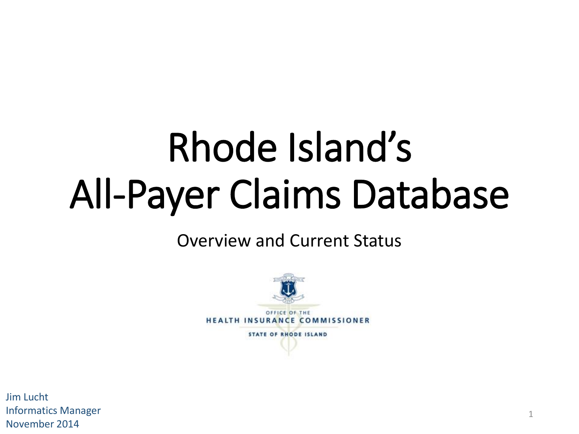# Rhode Island's All-Payer Claims Database

#### Overview and Current Status



**HEALTH INSURANCE COMMISSIONER** 

**STATE OF RHODE ISLAND** 

Jim Lucht Informatics Manager November 2014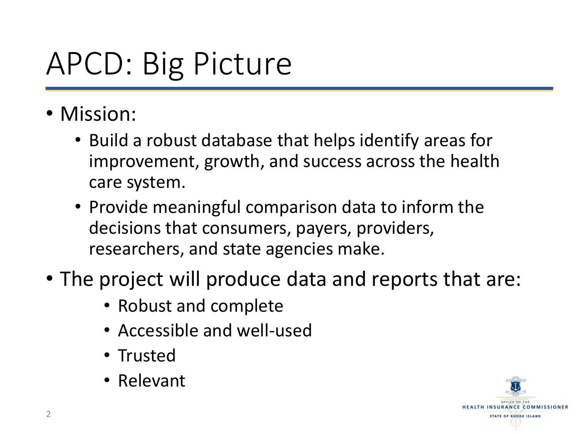## APCD: Big Picture

- Mission:
	- Build a robust database that helps identify areas for improvement, growth, and success across the health care system.
	- Provide meaningful comparison data to inform the decisions that consumers, payers, providers, researchers, and state agencies make.
- The project will produce data and reports that are:
	- Robust and complete
	- Accessible and well-used
	- Trusted
	- Relevant

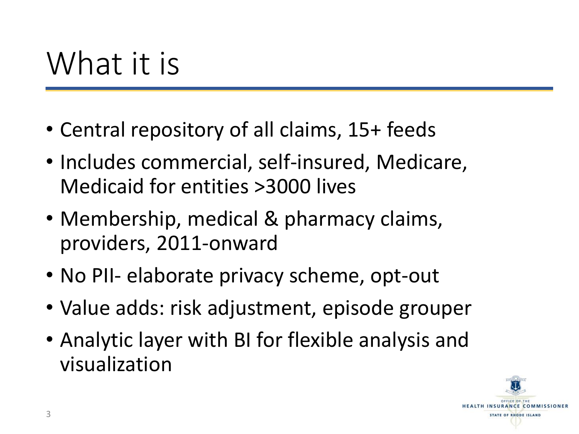#### What it is

- Central repository of all claims, 15+ feeds
- Includes commercial, self-insured, Medicare, Medicaid for entities >3000 lives
- Membership, medical & pharmacy claims, providers, 2011-onward
- No PII- elaborate privacy scheme, opt-out
- Value adds: risk adjustment, episode grouper
- Analytic layer with BI for flexible analysis and visualization

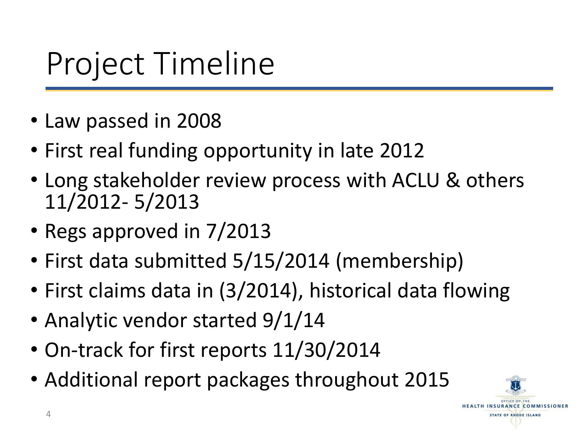### Project Timeline

- Law passed in 2008
- First real funding opportunity in late 2012
- Long stakeholder review process with ACLU & others 11/2012- 5/2013
- Regs approved in 7/2013
- First data submitted 5/15/2014 (membership)
- First claims data in (3/2014), historical data flowing
- Analytic vendor started 9/1/14
- On-track for first reports 11/30/2014
- Additional report packages throughout 2015

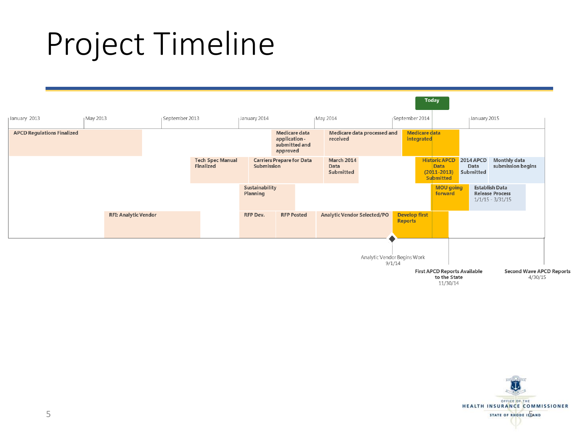#### Project Timeline



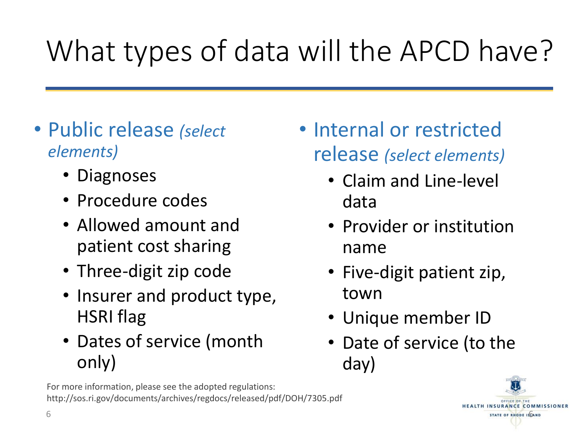# What types of data will the APCD have?

- Public release *(select elements)*
	- Diagnoses
	- Procedure codes
	- Allowed amount and patient cost sharing
	- Three-digit zip code
	- Insurer and product type, HSRI flag
	- Dates of service (month only)
	- For more information, please see the adopted regulations: http://sos.ri.gov/documents/archives/regdocs/released/pdf/DOH/7305.pdf
- Internal or restricted release *(select elements)*
	- Claim and Line-level data
	- Provider or institution name
	- Five-digit patient zip, town
	- Unique member ID
	- Date of service (to the day)

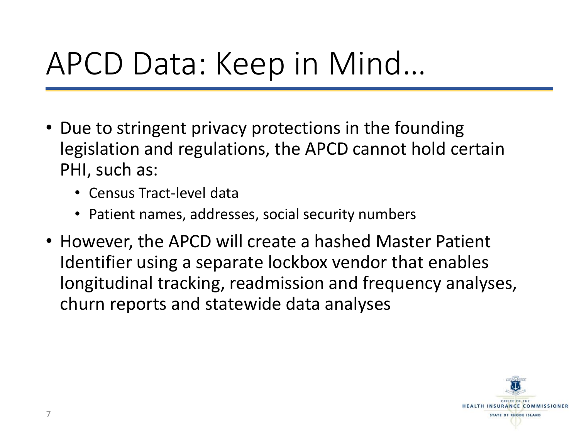#### APCD Data: Keep in Mind…

- Due to stringent privacy protections in the founding legislation and regulations, the APCD cannot hold certain PHI, such as:
	- Census Tract-level data
	- Patient names, addresses, social security numbers
- However, the APCD will create a hashed Master Patient Identifier using a separate lockbox vendor that enables longitudinal tracking, readmission and frequency analyses, churn reports and statewide data analyses

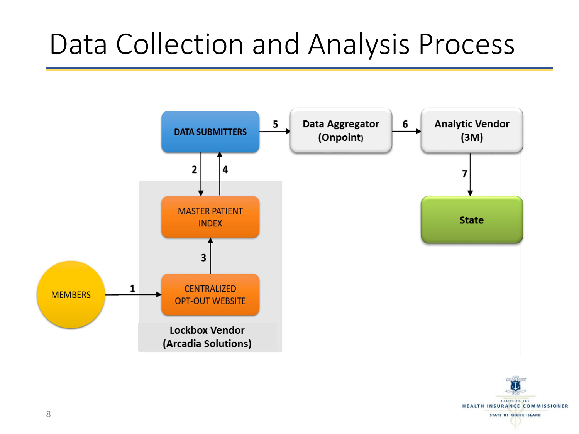#### Data Collection and Analysis Process



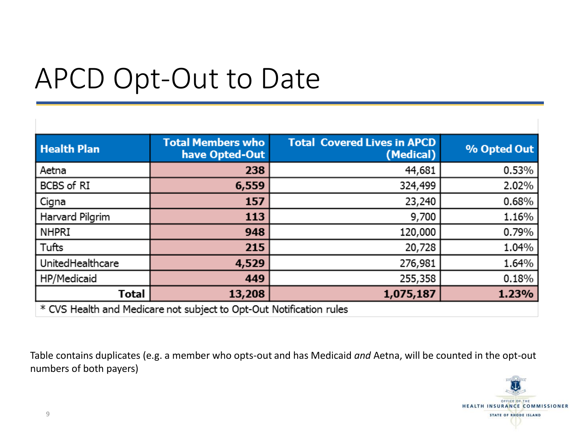#### APCD Opt-Out to Date

| <b>Health Plan</b> | <b>Total Members who</b><br>have Opted-Out | <b>Total Covered Lives in APCD</b><br>(Medical) | % Opted Out |
|--------------------|--------------------------------------------|-------------------------------------------------|-------------|
| Aetna              | 238                                        | 44,681                                          | 0.53%       |
| BCBS of RI         | 6,559                                      | 324,499                                         | 2.02%       |
| Cigna              | 157                                        | 23,240                                          | 0.68%       |
| Harvard Pilgrim    | 113                                        | 9,700                                           | 1.16%       |
| <b>NHPRI</b>       | 948                                        | 120,000                                         | 0.79%       |
| Tufts              | 215                                        | 20,728                                          | 1.04%       |
| UnitedHealthcare   | 4,529                                      | 276,981                                         | 1.64%       |
| HP/Medicaid        | 449                                        | 255,358                                         | 0.18%       |
| <b>Total</b>       | 13,208                                     | 1,075,187                                       | 1.23%       |

\* CVS Health and Medicare not subject to Opt-Out Notification rules

Table contains duplicates (e.g. a member who opts-out and has Medicaid *and* Aetna, will be counted in the opt-out numbers of both payers)

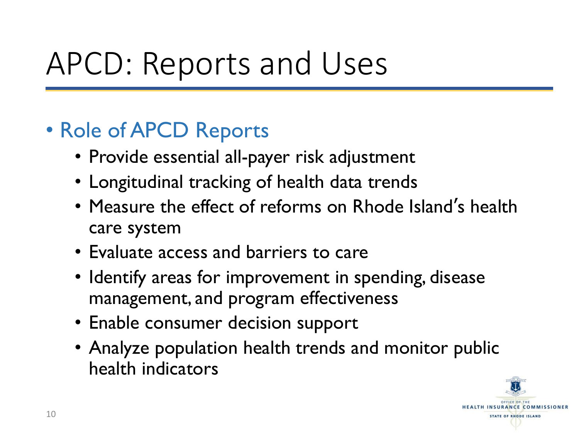#### APCD: Reports and Uses

#### • Role of APCD Reports

- Provide essential all-payer risk adjustment
- Longitudinal tracking of health data trends
- Measure the effect of reforms on Rhode Island's health care system
- Evaluate access and barriers to care
- Identify areas for improvement in spending, disease management, and program effectiveness
- Enable consumer decision support
- Analyze population health trends and monitor public health indicators

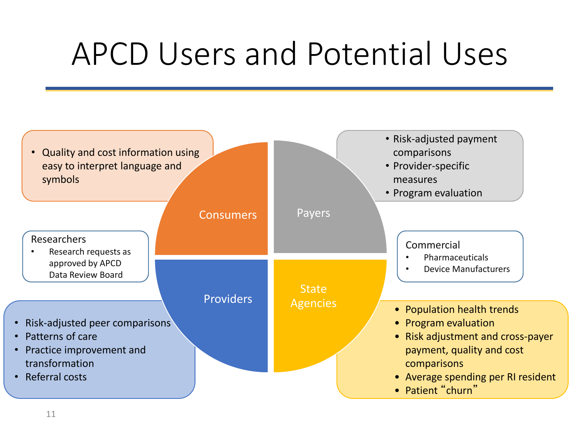### APCD Users and Potential Uses

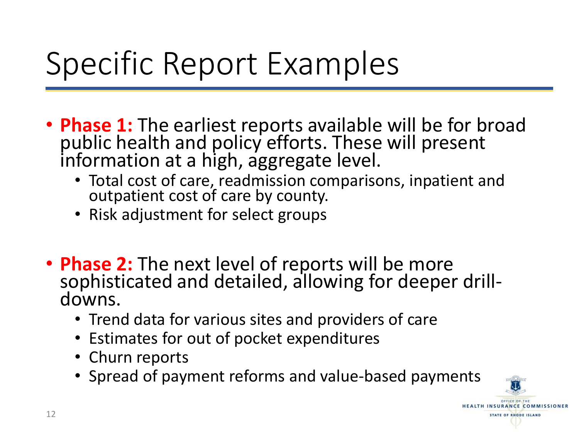## Specific Report Examples

- **Phase 1:** The earliest reports available will be for broad public health and policy efforts. These will present information at a high, aggregate level.
	- Total cost of care, readmission comparisons, inpatient and outpatient cost of care by county.
	- Risk adjustment for select groups
- **Phase 2:** The next level of reports will be more sophisticated and detailed, allowing for deeper drilldowns.
	- Trend data for various sites and providers of care
	- Estimates for out of pocket expenditures
	- Churn reports
	- Spread of payment reforms and value-based payments

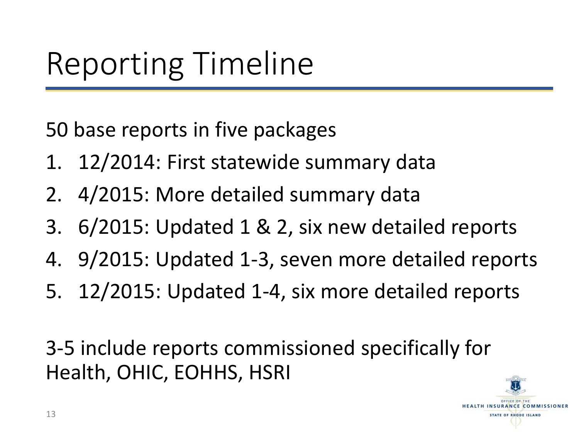#### Reporting Timeline

50 base reports in five packages

- 1. 12/2014: First statewide summary data
- 2. 4/2015: More detailed summary data
- 3. 6/2015: Updated 1 & 2, six new detailed reports
- 4. 9/2015: Updated 1-3, seven more detailed reports
- 5. 12/2015: Updated 1-4, six more detailed reports

3-5 include reports commissioned specifically for Health, OHIC, EOHHS, HSRI

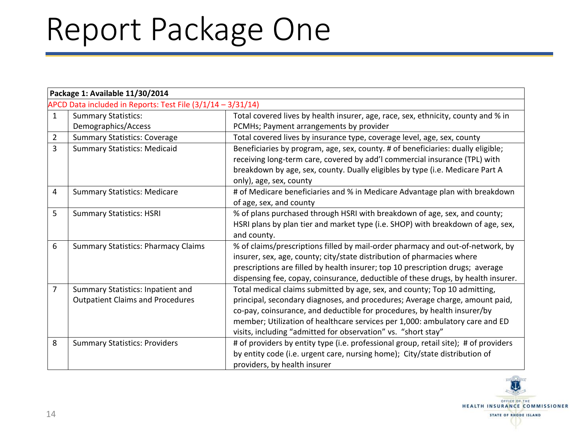# Report Package One

|                | Package 1: Available 11/30/2014                               |                                                                                      |  |
|----------------|---------------------------------------------------------------|--------------------------------------------------------------------------------------|--|
|                | APCD Data included in Reports: Test File $(3/1/14 - 3/31/14)$ |                                                                                      |  |
| $\mathbf{1}$   | <b>Summary Statistics:</b>                                    | Total covered lives by health insurer, age, race, sex, ethnicity, county and % in    |  |
|                | Demographics/Access                                           | PCMHs; Payment arrangements by provider                                              |  |
| $\overline{2}$ | <b>Summary Statistics: Coverage</b>                           | Total covered lives by insurance type, coverage level, age, sex, county              |  |
| 3              | <b>Summary Statistics: Medicaid</b>                           | Beneficiaries by program, age, sex, county. # of beneficiaries: dually eligible;     |  |
|                |                                                               | receiving long-term care, covered by add'I commercial insurance (TPL) with           |  |
|                |                                                               | breakdown by age, sex, county. Dually eligibles by type (i.e. Medicare Part A        |  |
|                |                                                               | only), age, sex, county                                                              |  |
| 4              | <b>Summary Statistics: Medicare</b>                           | # of Medicare beneficiaries and % in Medicare Advantage plan with breakdown          |  |
|                |                                                               | of age, sex, and county                                                              |  |
| 5              | <b>Summary Statistics: HSRI</b>                               | % of plans purchased through HSRI with breakdown of age, sex, and county;            |  |
|                |                                                               | HSRI plans by plan tier and market type (i.e. SHOP) with breakdown of age, sex,      |  |
|                |                                                               | and county.                                                                          |  |
| 6              | <b>Summary Statistics: Pharmacy Claims</b>                    | % of claims/prescriptions filled by mail-order pharmacy and out-of-network, by       |  |
|                |                                                               | insurer, sex, age, county; city/state distribution of pharmacies where               |  |
|                |                                                               | prescriptions are filled by health insurer; top 10 prescription drugs; average       |  |
|                |                                                               | dispensing fee, copay, coinsurance, deductible of these drugs, by health insurer.    |  |
| $\overline{7}$ | Summary Statistics: Inpatient and                             | Total medical claims submitted by age, sex, and county; Top 10 admitting,            |  |
|                | <b>Outpatient Claims and Procedures</b>                       | principal, secondary diagnoses, and procedures; Average charge, amount paid,         |  |
|                |                                                               | co-pay, coinsurance, and deductible for procedures, by health insurer/by             |  |
|                |                                                               | member; Utilization of healthcare services per 1,000: ambulatory care and ED         |  |
|                |                                                               | visits, including "admitted for observation" vs. "short stay"                        |  |
| 8              | <b>Summary Statistics: Providers</b>                          | # of providers by entity type (i.e. professional group, retail site); # of providers |  |
|                |                                                               | by entity code (i.e. urgent care, nursing home); City/state distribution of          |  |
|                |                                                               | providers, by health insurer                                                         |  |

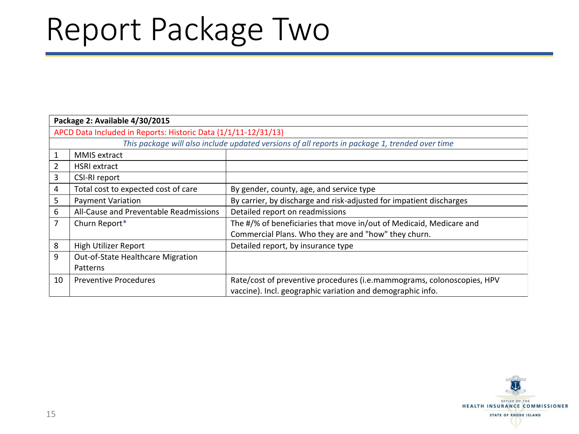## Report Package Two

| Package 2: Available 4/30/2015                                 |                                                                                                |                                                                        |  |
|----------------------------------------------------------------|------------------------------------------------------------------------------------------------|------------------------------------------------------------------------|--|
| APCD Data Included in Reports: Historic Data (1/1/11-12/31/13) |                                                                                                |                                                                        |  |
|                                                                | This package will also include updated versions of all reports in package 1, trended over time |                                                                        |  |
| $\mathbf{1}$                                                   | MMIS extract                                                                                   |                                                                        |  |
| 2                                                              | <b>HSRI</b> extract                                                                            |                                                                        |  |
| 3                                                              | CSI-RI report                                                                                  |                                                                        |  |
| 4                                                              | Total cost to expected cost of care                                                            | By gender, county, age, and service type                               |  |
| 5                                                              | <b>Payment Variation</b>                                                                       | By carrier, by discharge and risk-adjusted for impatient discharges    |  |
| 6                                                              | All-Cause and Preventable Readmissions                                                         | Detailed report on readmissions                                        |  |
| 7                                                              | Churn Report*                                                                                  | The #/% of beneficiaries that move in/out of Medicaid, Medicare and    |  |
|                                                                |                                                                                                | Commercial Plans. Who they are and "how" they churn.                   |  |
| 8                                                              | High Utilizer Report                                                                           | Detailed report, by insurance type                                     |  |
| 9                                                              | Out-of-State Healthcare Migration                                                              |                                                                        |  |
|                                                                | Patterns                                                                                       |                                                                        |  |
| 10                                                             | <b>Preventive Procedures</b>                                                                   | Rate/cost of preventive procedures (i.e.mammograms, colonoscopies, HPV |  |
|                                                                |                                                                                                | vaccine). Incl. geographic variation and demographic info.             |  |

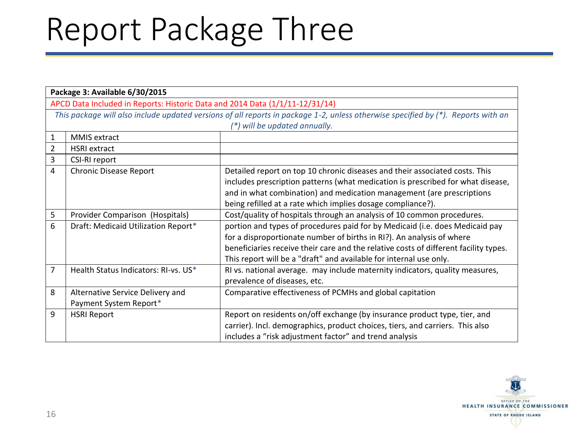#### Report Package Three

|                                                                              | Package 3: Available 6/30/2015                                                                                                    |                                                                                      |  |
|------------------------------------------------------------------------------|-----------------------------------------------------------------------------------------------------------------------------------|--------------------------------------------------------------------------------------|--|
| APCD Data Included in Reports: Historic Data and 2014 Data (1/1/11-12/31/14) |                                                                                                                                   |                                                                                      |  |
|                                                                              | This package will also include updated versions of all reports in package 1-2, unless otherwise specified by (*). Reports with an |                                                                                      |  |
|                                                                              |                                                                                                                                   | (*) will be updated annually.                                                        |  |
| 1                                                                            | MMIS extract                                                                                                                      |                                                                                      |  |
| 2                                                                            | <b>HSRI</b> extract                                                                                                               |                                                                                      |  |
| 3                                                                            | CSI-RI report                                                                                                                     |                                                                                      |  |
| 4                                                                            | <b>Chronic Disease Report</b>                                                                                                     | Detailed report on top 10 chronic diseases and their associated costs. This          |  |
|                                                                              |                                                                                                                                   | includes prescription patterns (what medication is prescribed for what disease,      |  |
|                                                                              |                                                                                                                                   | and in what combination) and medication management (are prescriptions                |  |
|                                                                              |                                                                                                                                   | being refilled at a rate which implies dosage compliance?).                          |  |
| 5                                                                            | Provider Comparison (Hospitals)                                                                                                   | Cost/quality of hospitals through an analysis of 10 common procedures.               |  |
| 6                                                                            | Draft: Medicaid Utilization Report*                                                                                               | portion and types of procedures paid for by Medicaid (i.e. does Medicaid pay         |  |
|                                                                              |                                                                                                                                   | for a disproportionate number of births in RI?). An analysis of where                |  |
|                                                                              |                                                                                                                                   | beneficiaries receive their care and the relative costs of different facility types. |  |
|                                                                              |                                                                                                                                   | This report will be a "draft" and available for internal use only.                   |  |
| 7                                                                            | Health Status Indicators: RI-vs. US*                                                                                              | RI vs. national average. may include maternity indicators, quality measures,         |  |
|                                                                              |                                                                                                                                   | prevalence of diseases, etc.                                                         |  |
| 8                                                                            | Alternative Service Delivery and                                                                                                  | Comparative effectiveness of PCMHs and global capitation                             |  |
|                                                                              | Payment System Report*                                                                                                            |                                                                                      |  |
| 9                                                                            | <b>HSRI Report</b>                                                                                                                | Report on residents on/off exchange (by insurance product type, tier, and            |  |
|                                                                              |                                                                                                                                   | carrier). Incl. demographics, product choices, tiers, and carriers. This also        |  |
|                                                                              |                                                                                                                                   | includes a "risk adjustment factor" and trend analysis                               |  |

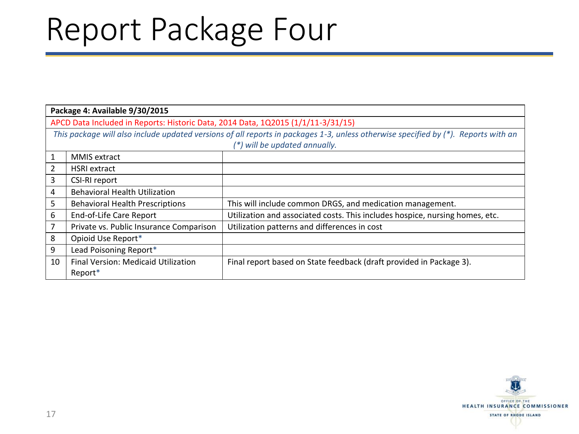#### Report Package Four

|    | Package 4: Available 9/30/2015                                                                                                                                      |                                                                              |  |
|----|---------------------------------------------------------------------------------------------------------------------------------------------------------------------|------------------------------------------------------------------------------|--|
|    | APCD Data Included in Reports: Historic Data, 2014 Data, 1Q2015 (1/1/11-3/31/15)                                                                                    |                                                                              |  |
|    | This package will also include updated versions of all reports in packages 1-3, unless otherwise specified by (*). Reports with an<br>(*) will be updated annually. |                                                                              |  |
| 1  | <b>MMIS</b> extract                                                                                                                                                 |                                                                              |  |
| 2  | <b>HSRI</b> extract                                                                                                                                                 |                                                                              |  |
| 3  | CSI-RI report                                                                                                                                                       |                                                                              |  |
| 4  | <b>Behavioral Health Utilization</b>                                                                                                                                |                                                                              |  |
| 5  | <b>Behavioral Health Prescriptions</b>                                                                                                                              | This will include common DRGS, and medication management.                    |  |
| 6  | End-of-Life Care Report                                                                                                                                             | Utilization and associated costs. This includes hospice, nursing homes, etc. |  |
| 7  | Private vs. Public Insurance Comparison                                                                                                                             | Utilization patterns and differences in cost                                 |  |
| 8  | Opioid Use Report*                                                                                                                                                  |                                                                              |  |
| 9  | Lead Poisoning Report*                                                                                                                                              |                                                                              |  |
| 10 | Final Version: Medicaid Utilization<br>Report*                                                                                                                      | Final report based on State feedback (draft provided in Package 3).          |  |